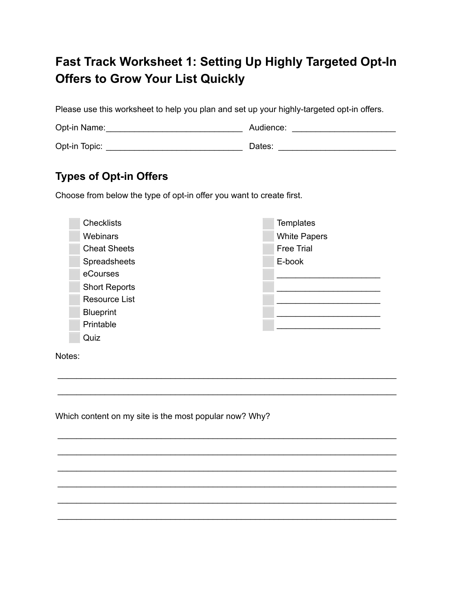## **Fast Track Worksheet 1: Setting Up Highly Targeted Opt-In Offers to Grow Your List Quickly**

Please use this worksheet to help you plan and set up your highly-targeted opt-in offers.

Opt-in Name: Audience: \_\_\_\_\_\_\_\_\_\_\_\_\_\_\_\_\_\_\_\_\_\_\_\_\_\_\_\_\_ \_\_\_\_\_\_\_\_\_\_\_\_\_\_\_\_\_\_\_\_\_\_

Opt-in Topic: Dates: \_\_\_\_\_\_\_\_\_\_\_\_\_\_\_\_\_\_\_\_\_\_\_\_\_\_\_\_\_ \_\_\_\_\_\_\_\_\_\_\_\_\_\_\_\_\_\_\_\_\_\_\_\_\_

## **Types of Opt-in Offers**

Choose from below the type of opt-in offer you want to create first.

| <b>Checklists</b>    | <b>Templates</b>    |
|----------------------|---------------------|
| <b>Webinars</b>      | <b>White Papers</b> |
| <b>Cheat Sheets</b>  | <b>Free Trial</b>   |
| Spreadsheets         | E-book              |
| eCourses             |                     |
| <b>Short Reports</b> |                     |
| <b>Resource List</b> |                     |
| <b>Blueprint</b>     |                     |
| Printable            |                     |
| Quiz                 |                     |
|                      |                     |

 $\overline{\phantom{a}}$  , and the set of the set of the set of the set of the set of the set of the set of the set of the set of the set of the set of the set of the set of the set of the set of the set of the set of the set of the s

\_\_\_\_\_\_\_\_\_\_\_\_\_\_\_\_\_\_\_\_\_\_\_\_\_\_\_\_\_\_\_\_\_\_\_\_\_\_\_\_\_\_\_\_\_\_\_\_\_\_\_\_\_\_\_\_\_\_\_\_\_\_\_\_\_\_\_\_\_\_\_\_

 $\overline{\phantom{a}}$  , and the set of the set of the set of the set of the set of the set of the set of the set of the set of the set of the set of the set of the set of the set of the set of the set of the set of the set of the s

\_\_\_\_\_\_\_\_\_\_\_\_\_\_\_\_\_\_\_\_\_\_\_\_\_\_\_\_\_\_\_\_\_\_\_\_\_\_\_\_\_\_\_\_\_\_\_\_\_\_\_\_\_\_\_\_\_\_\_\_\_\_\_\_\_\_\_\_\_\_\_\_

\_\_\_\_\_\_\_\_\_\_\_\_\_\_\_\_\_\_\_\_\_\_\_\_\_\_\_\_\_\_\_\_\_\_\_\_\_\_\_\_\_\_\_\_\_\_\_\_\_\_\_\_\_\_\_\_\_\_\_\_\_\_\_\_\_\_\_\_\_\_\_\_

\_\_\_\_\_\_\_\_\_\_\_\_\_\_\_\_\_\_\_\_\_\_\_\_\_\_\_\_\_\_\_\_\_\_\_\_\_\_\_\_\_\_\_\_\_\_\_\_\_\_\_\_\_\_\_\_\_\_\_\_\_\_\_\_\_\_\_\_\_\_\_\_

\_\_\_\_\_\_\_\_\_\_\_\_\_\_\_\_\_\_\_\_\_\_\_\_\_\_\_\_\_\_\_\_\_\_\_\_\_\_\_\_\_\_\_\_\_\_\_\_\_\_\_\_\_\_\_\_\_\_\_\_\_\_\_\_\_\_\_\_\_\_\_\_

\_\_\_\_\_\_\_\_\_\_\_\_\_\_\_\_\_\_\_\_\_\_\_\_\_\_\_\_\_\_\_\_\_\_\_\_\_\_\_\_\_\_\_\_\_\_\_\_\_\_\_\_\_\_\_\_\_\_\_\_\_\_\_\_\_\_\_\_\_\_\_\_

Notes:

Which content on my site is the most popular now? Why?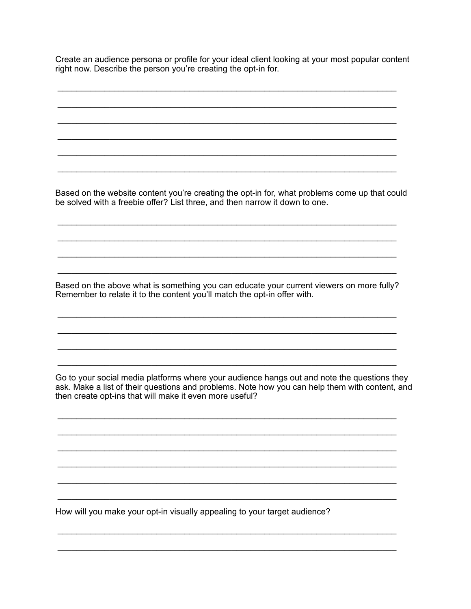Create an audience persona or profile for your ideal client looking at your most popular content right now. Describe the person you're creating the opt-in for.

Based on the website content you're creating the opt-in for, what problems come up that could be solved with a freebie offer? List three, and then narrow it down to one.

Based on the above what is something you can educate your current viewers on more fully? Remember to relate it to the content you'll match the opt-in offer with.

Go to your social media platforms where your audience hangs out and note the questions they ask. Make a list of their questions and problems. Note how you can help them with content, and then create opt-ins that will make it even more useful?

How will you make your opt-in visually appealing to your target audience?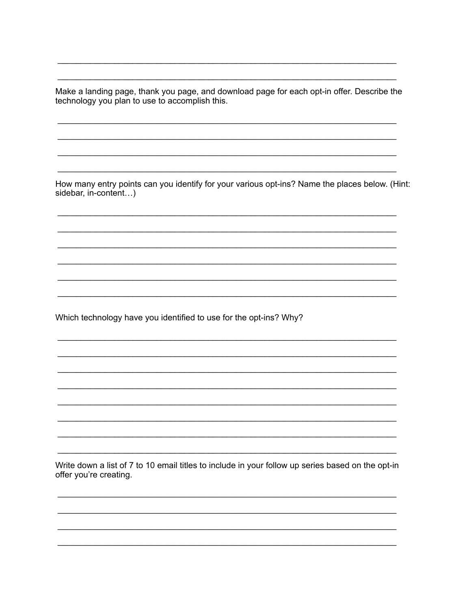Make a landing page, thank you page, and download page for each opt-in offer. Describe the technology you plan to use to accomplish this.

How many entry points can you identify for your various opt-ins? Name the places below. (Hint: sidebar, in-content...)

Which technology have you identified to use for the opt-ins? Why?

Write down a list of 7 to 10 email titles to include in your follow up series based on the opt-in offer you're creating.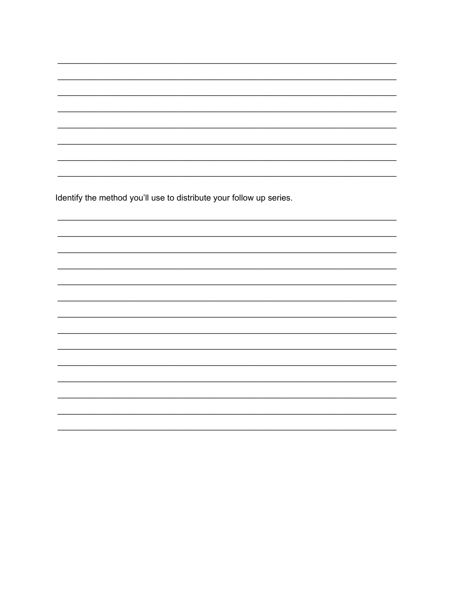Identify the method you'll use to distribute your follow up series.

,我们也不能在这里的人,我们也不能在这里的人,我们也不能在这里的人,我们也不能在这里的人,我们也不能在这里的人,我们也不能在这里的人,我们也不能在这里的人,我们也

 $\overline{\phantom{0}}$